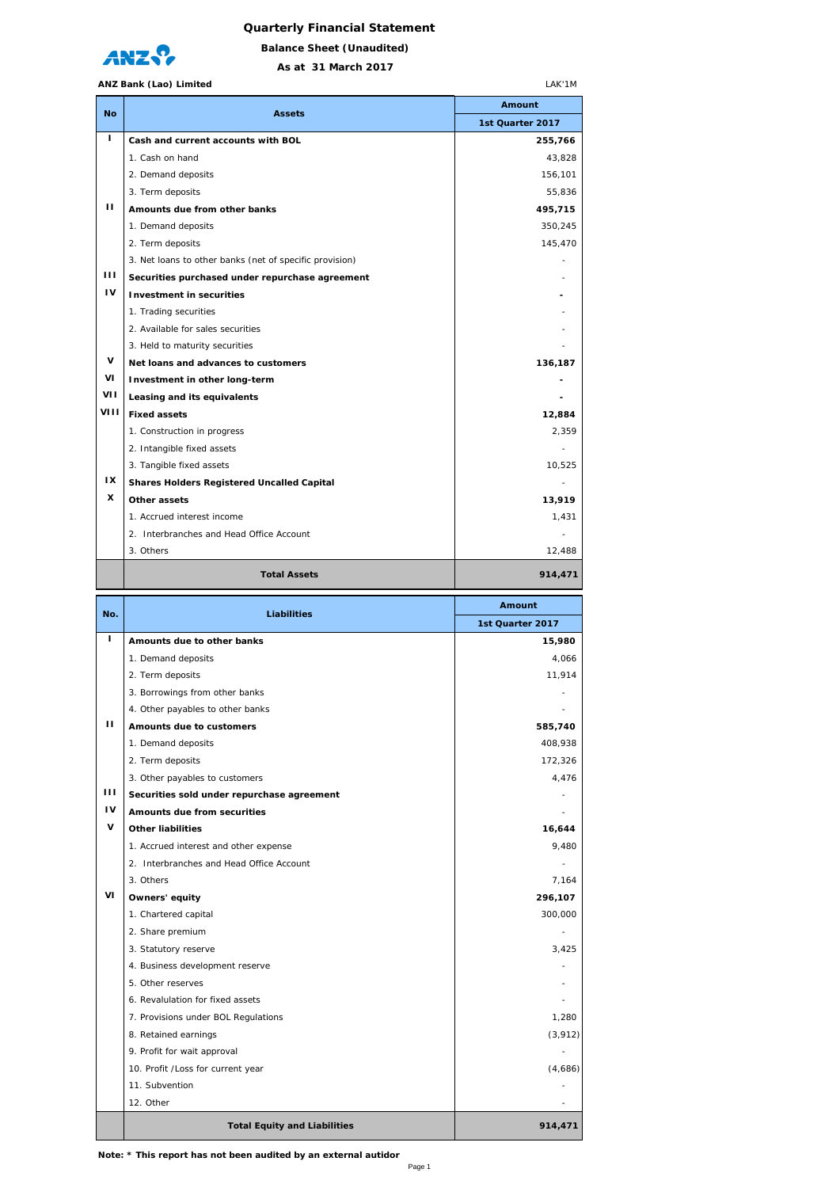## **Quarterly Financial Statement**



**As at 31 March 2017 Balance Sheet (Unaudited)**

LAK'1M

## **ANZ Bank (Lao) Limited**

| <b>No</b>   | <b>Assets</b>                                                     | Amount                         |
|-------------|-------------------------------------------------------------------|--------------------------------|
|             |                                                                   | 1st Quarter 2017               |
| г           | Cash and current accounts with BOL                                | 255,766                        |
|             | 1. Cash on hand                                                   | 43,828                         |
|             | 2. Demand deposits                                                | 156,101                        |
|             | 3. Term deposits                                                  | 55,836                         |
| п           | Amounts due from other banks                                      | 495,715                        |
|             | 1. Demand deposits                                                | 350,245                        |
|             | 2. Term deposits                                                  | 145,470                        |
|             | 3. Net loans to other banks (net of specific provision)           |                                |
| Ш           | Securities purchased under repurchase agreement                   |                                |
| ı٧          | <b>Investment in securities</b>                                   |                                |
|             | 1. Trading securities                                             |                                |
|             | 2. Available for sales securities                                 |                                |
|             | 3. Held to maturity securities                                    |                                |
| V           | Net loans and advances to customers                               | 136,187                        |
| VI          | Investment in other long-term                                     |                                |
| VII<br>VIII | Leasing and its equivalents                                       |                                |
|             | <b>Fixed assets</b>                                               | 12,884                         |
|             | 1. Construction in progress                                       | 2,359                          |
|             | 2. Intangible fixed assets                                        |                                |
|             | 3. Tangible fixed assets                                          | 10,525                         |
| IX<br>x     | <b>Shares Holders Registered Uncalled Capital</b>                 |                                |
|             | Other assets                                                      | 13,919                         |
|             | 1. Accrued interest income                                        | 1,431                          |
|             | 2. Interbranches and Head Office Account                          |                                |
|             | 3. Others                                                         | 12,488                         |
|             | <b>Total Assets</b>                                               | 914,471                        |
| No.         | <b>Liabilities</b>                                                | <b>Amount</b>                  |
|             |                                                                   | 1st Quarter 2017               |
|             |                                                                   |                                |
| т           | Amounts due to other banks                                        | 15,980                         |
|             | 1. Demand deposits                                                | 4.066                          |
|             | 2. Term deposits                                                  | 11,914                         |
|             | 3. Borrowings from other banks                                    |                                |
|             | 4. Other payables to other banks                                  |                                |
|             | <b>Amounts due to customers</b>                                   | 585,740                        |
|             | 1. Demand deposits                                                | 408,938                        |
|             | 2. Term deposits                                                  | 172,326                        |
|             | 3. Other payables to customers                                    |                                |
| ш           | Securities sold under repurchase agreement                        | 4,476                          |
| IV          | Amounts due from securities                                       |                                |
| V           | <b>Other liabilities</b>                                          | 16,644                         |
|             | 1. Accrued interest and other expense                             | 9,480                          |
|             | 2. Interbranches and Head Office Account                          |                                |
|             | 3. Others                                                         | 7,164                          |
| ۷ı          | Owners' equity                                                    | 296,107                        |
|             | 1. Chartered capital                                              | 300,000                        |
|             | 2. Share premium                                                  |                                |
|             | 3. Statutory reserve                                              | 3,425                          |
|             | 4. Business development reserve<br>5. Other reserves              |                                |
|             | 6. Revalulation for fixed assets                                  |                                |
|             |                                                                   | 1,280                          |
|             | 7. Provisions under BOL Regulations                               |                                |
|             | 8. Retained earnings                                              |                                |
|             | 9. Profit for wait approval<br>10. Profit / Loss for current year |                                |
|             | 11. Subvention                                                    |                                |
|             | 12. Other                                                         |                                |
|             | <b>Total Equity and Liabilities</b>                               | (3, 912)<br>(4,686)<br>914,471 |

**Note: \* This report has not been audited by an external autidor**